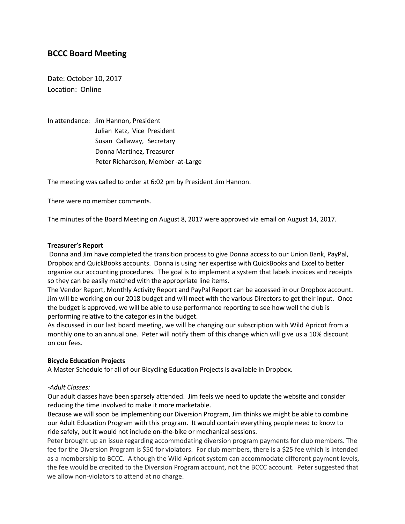# **BCCC Board Meeting**

Date: October 10, 2017 Location: Online

In attendance: Jim Hannon, President Julian Katz, Vice President Susan Callaway, Secretary Donna Martinez, Treasurer Peter Richardson, Member -at-Large

The meeting was called to order at 6:02 pm by President Jim Hannon.

There were no member comments.

The minutes of the Board Meeting on August 8, 2017 were approved via email on August 14, 2017.

#### **Treasurer's Report**

Donna and Jim have completed the transition process to give Donna access to our Union Bank, PayPal, Dropbox and QuickBooks accounts. Donna is using her expertise with QuickBooks and Excel to better organize our accounting procedures. The goal is to implement a system that labels invoices and receipts so they can be easily matched with the appropriate line items.

The Vendor Report, Monthly Activity Report and PayPal Report can be accessed in our Dropbox account. Jim will be working on our 2018 budget and will meet with the various Directors to get their input. Once the budget is approved, we will be able to use performance reporting to see how well the club is performing relative to the categories in the budget.

As discussed in our last board meeting, we will be changing our subscription with Wild Apricot from a monthly one to an annual one. Peter will notify them of this change which will give us a 10% discount on our fees.

#### **Bicycle Education Projects**

A Master Schedule for all of our Bicycling Education Projects is available in Dropbox.

#### *-Adult Classes:*

Our adult classes have been sparsely attended. Jim feels we need to update the website and consider reducing the time involved to make it more marketable.

Because we will soon be implementing our Diversion Program, Jim thinks we might be able to combine our Adult Education Program with this program. It would contain everything people need to know to ride safely, but it would not include on-the-bike or mechanical sessions.

Peter brought up an issue regarding accommodating diversion program payments for club members. The fee for the Diversion Program is \$50 for violators. For club members, there is a \$25 fee which is intended as a membership to BCCC. Although the Wild Apricot system can accommodate different payment levels, the fee would be credited to the Diversion Program account, not the BCCC account. Peter suggested that we allow non-violators to attend at no charge.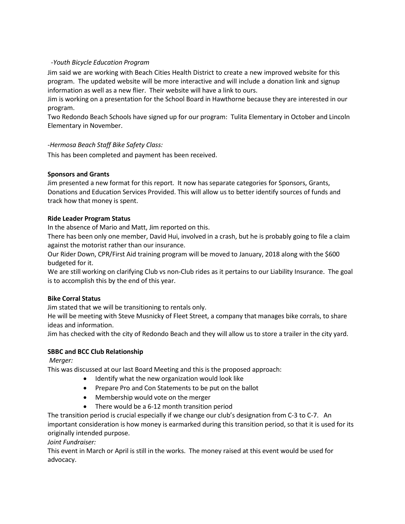### *-Youth Bicycle Education Program*

Jim said we are working with Beach Cities Health District to create a new improved website for this program. The updated website will be more interactive and will include a donation link and signup information as well as a new flier. Their website will have a link to ours.

Jim is working on a presentation for the School Board in Hawthorne because they are interested in our program.

Two Redondo Beach Schools have signed up for our program: Tulita Elementary in October and Lincoln Elementary in November.

### *-Hermosa Beach Staff Bike Safety Class:*

This has been completed and payment has been received.

### **Sponsors and Grants**

Jim presented a new format for this report. It now has separate categories for Sponsors, Grants, Donations and Education Services Provided. This will allow us to better identify sources of funds and track how that money is spent.

### **Ride Leader Program Status**

In the absence of Mario and Matt, Jim reported on this.

There has been only one member, David Hui, involved in a crash, but he is probably going to file a claim against the motorist rather than our insurance.

Our Rider Down, CPR/First Aid training program will be moved to January, 2018 along with the \$600 budgeted for it.

We are still working on clarifying Club vs non-Club rides as it pertains to our Liability Insurance. The goal is to accomplish this by the end of this year.

# **Bike Corral Status**

Jim stated that we will be transitioning to rentals only.

He will be meeting with Steve Musnicky of Fleet Street, a company that manages bike corrals, to share ideas and information.

Jim has checked with the city of Redondo Beach and they will allow us to store a trailer in the city yard.

# **SBBC and BCC Club Relationship**

*Merger:*

This was discussed at our last Board Meeting and this is the proposed approach:

- Identify what the new organization would look like
- Prepare Pro and Con Statements to be put on the ballot
- Membership would vote on the merger
- There would be a 6-12 month transition period

The transition period is crucial especially if we change our club's designation from C-3 to C-7. An important consideration is how money is earmarked during this transition period, so that it is used for its originally intended purpose.

*Joint Fundraiser:*

This event in March or April is still in the works. The money raised at this event would be used for advocacy.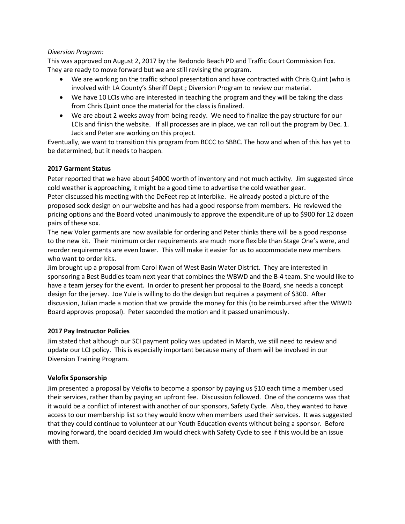### *Diversion Program:*

This was approved on August 2, 2017 by the Redondo Beach PD and Traffic Court Commission Fox. They are ready to move forward but we are still revising the program.

- We are working on the traffic school presentation and have contracted with Chris Quint (who is involved with LA County's Sheriff Dept.; Diversion Program to review our material.
- We have 10 LCIs who are interested in teaching the program and they will be taking the class from Chris Quint once the material for the class is finalized.
- We are about 2 weeks away from being ready. We need to finalize the pay structure for our LCIs and finish the website. If all processes are in place, we can roll out the program by Dec. 1. Jack and Peter are working on this project.

Eventually, we want to transition this program from BCCC to SBBC. The how and when of this has yet to be determined, but it needs to happen.

# **2017 Garment Status**

Peter reported that we have about \$4000 worth of inventory and not much activity. Jim suggested since cold weather is approaching, it might be a good time to advertise the cold weather gear. Peter discussed his meeting with the DeFeet rep at Interbike. He already posted a picture of the proposed sock design on our website and has had a good response from members. He reviewed the pricing options and the Board voted unanimously to approve the expenditure of up to \$900 for 12 dozen pairs of these sox.

The new Voler garments are now available for ordering and Peter thinks there will be a good response to the new kit. Their minimum order requirements are much more flexible than Stage One's were, and reorder requirements are even lower. This will make it easier for us to accommodate new members who want to order kits.

Jim brought up a proposal from Carol Kwan of West Basin Water District. They are interested in sponsoring a Best Buddies team next year that combines the WBWD and the B-4 team. She would like to have a team jersey for the event. In order to present her proposal to the Board, she needs a concept design for the jersey. Joe Yule is willing to do the design but requires a payment of \$300. After discussion, Julian made a motion that we provide the money for this (to be reimbursed after the WBWD Board approves proposal). Peter seconded the motion and it passed unanimously.

# **2017 Pay Instructor Policies**

Jim stated that although our SCI payment policy was updated in March, we still need to review and update our LCI policy. This is especially important because many of them will be involved in our Diversion Training Program.

# **Velofix Sponsorship**

Jim presented a proposal by Velofix to become a sponsor by paying us \$10 each time a member used their services, rather than by paying an upfront fee. Discussion followed. One of the concerns was that it would be a conflict of interest with another of our sponsors, Safety Cycle. Also, they wanted to have access to our membership list so they would know when members used their services. It was suggested that they could continue to volunteer at our Youth Education events without being a sponsor. Before moving forward, the board decided Jim would check with Safety Cycle to see if this would be an issue with them.